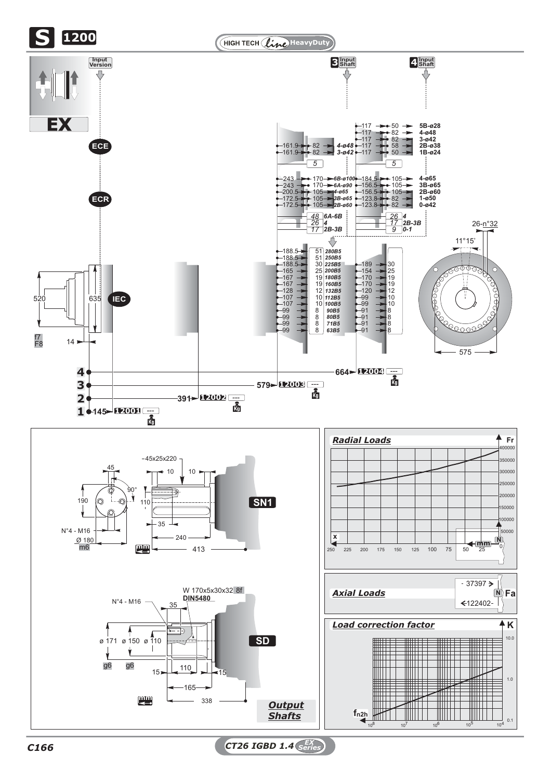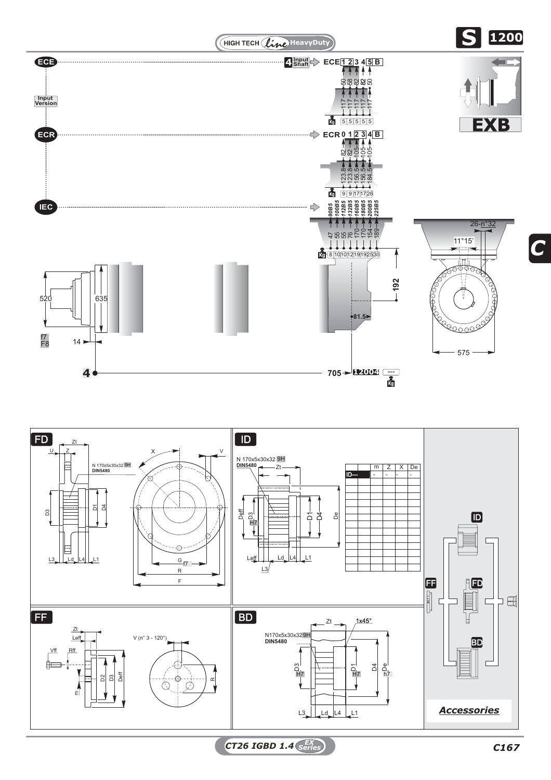



*CT26 IGBD 1.4 C167 EX Series*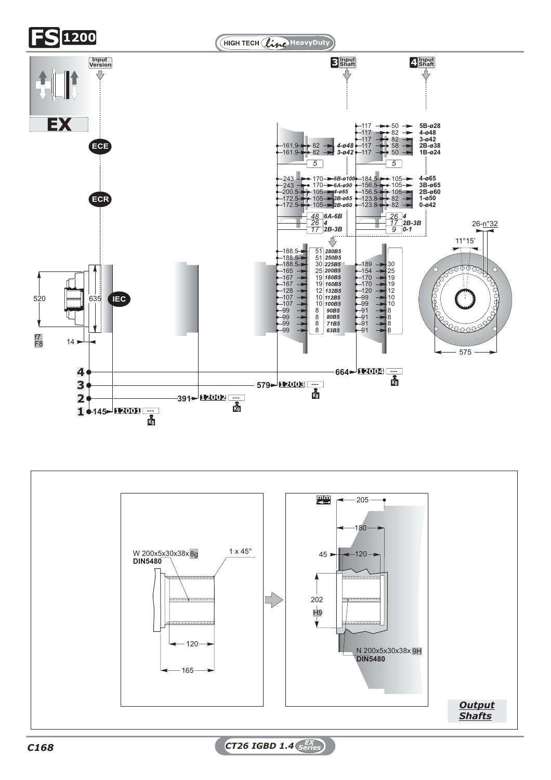



*C168 CT26 IGBD 1.4 EX Series*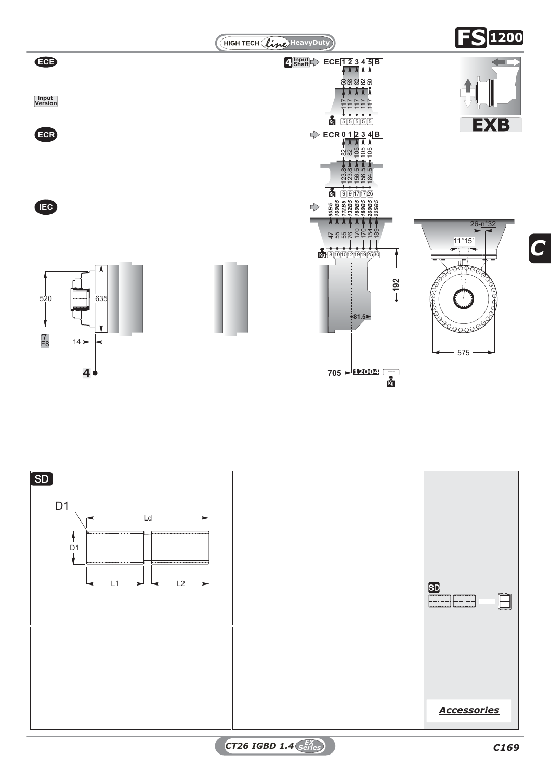



*CT26 IGBD 1.4 C169 EX Series*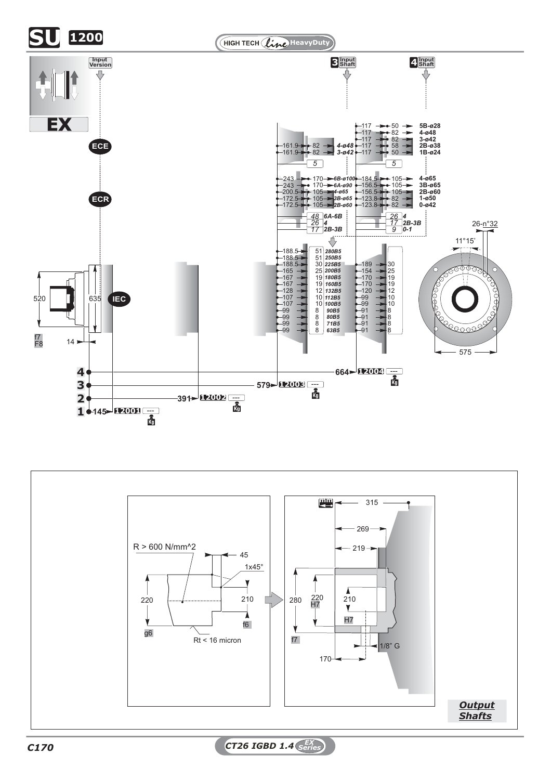



*C170 CT26 IGBD 1.4 EX Series*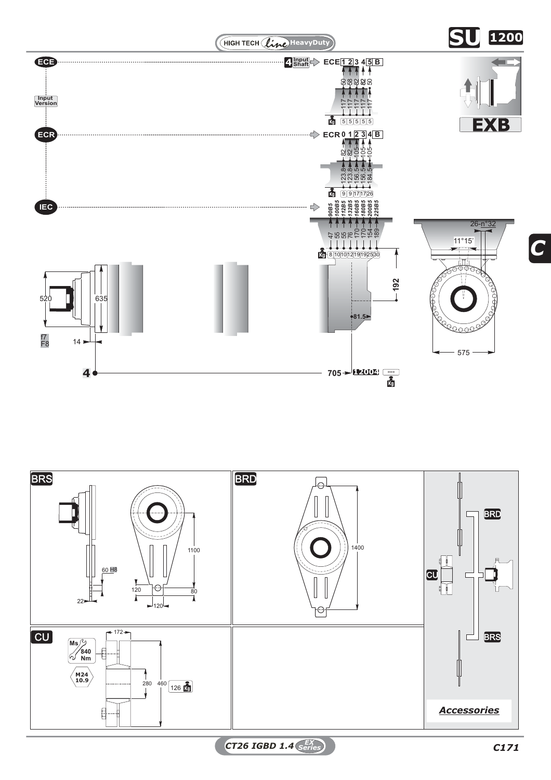



*CT26 IGBD 1.4 C171 EX Series*